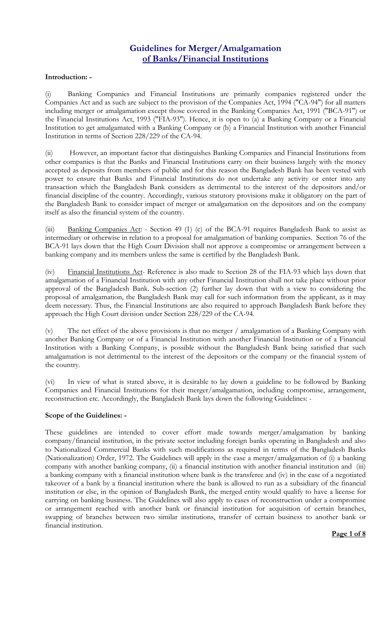# **Guidelines for Merger/Amalgamation of Banks/Financial Institutions**

## **Introduction: -**

(i) Banking Companies and Financial Institutions are primarily companies registered under the Companies Act and as such are subject to the provision of the Companies Act, 1994 ("CA-94") for all matters including merger or amalgamation except those covered in the Banking Companies Act, 1991 ("BCA-91") or the Financial Institutions Act, 1993 ("FIA-93"). Hence, it is open to (a) a Banking Company or a Financial Institution to get amalgamated with a Banking Company or (b) a Financial Institution with another Financial Institution in terms of Section 228/229 of the CA-94.

(ii) However, an important factor that distinguishes Banking Companies and Financial Institutions from other companies is that the Banks and Financial Institutions carry on their business largely with the money accepted as deposits from members of public and for this reason the Bangladesh Bank has been vested with power to ensure that Banks and Financial Institutions do not undertake any activity or enter into any transaction which the Bangladesh Bank considers as detrimental to the interest of the depositors and/or financial discipline of the country. Accordingly, various statutory provisions make it obligatory on the part of the Bangladesh Bank to consider impact of merger or amalgamation on the depositors and on the company itself as also the financial system of the country.

(iii) Banking Companies Act: - Section 49 (1) (c) of the BCA-91 requires Bangladesh Bank to assist as intermediary or otherwise in relation to a proposal for amalgamation of banking companies. Section 76 of the BCA-91 lays down that the High Court Division shall not approve a compromise or arrangement between a banking company and its members unless the same is certified by the Bangladesh Bank.

(iv) Financial Institutions Act- Reference is also made to Section 28 of the FIA-93 which lays down that amalgamation of a Financial Institution with any other Financial Institution shall not take place without prior approval of the Bangladesh Bank. Sub-section (2) further lay down that with a view to considering the proposal of amalgamation, the Bangladesh Bank may call for such information from the applicant, as it may deem necessary. Thus, the Financial Institutions are also required to approach Bangladesh Bank before they approach the High Court division under Section 228/229 of the CA-94.

(v) The net effect of the above provisions is that no merger / amalgamation of a Banking Company with another Banking Company or of a Financial Institution with another Financial Institution or of a Financial Institution with a Banking Company, is possible without the Bangladesh Bank being satisfied that such amalgamation is not detrimental to the interest of the depositors or the company or the financial system of the country.

(vi) In view of what is stated above, it is desirable to lay down a guideline to be followed by Banking Companies and Financial Institutions for their merger/amalgamation, including compromise, arrangement, reconstruction etc. Accordingly, the Bangladesh Bank lays down the following Guidelines: -

#### **Scope of the Guidelines: -**

These guidelines are intended to cover effort made towards merger/amalgamation by banking company/financial institution, in the private sector including foreign banks operating in Bangladesh and also to Nationalized Commercial Banks with such modifications as required in terms of the Bangladesh Banks (Nationalization) Order, 1972. The Guidelines will apply in the case a merger/amalgamation of (i) a banking company with another banking company, (ii) a financial institution with another financial institution and (iii) a banking company with a financial institution where bank is the transferee and (iv) in the case of a negotiated takeover of a bank by a financial institution where the bank is allowed to run as a subsidiary of the financial institution or else, in the opinion of Bangladesh Bank, the merged entity would qualify to have a license for carrying on banking business. The Guidelines will also apply to cases of reconstruction under a compromise or arrangement reached with another bank or financial institution for acquisition of certain branches, swapping of branches between two similar institutions, transfer of certain business to another bank or financial institution.

**Page 1 of 8**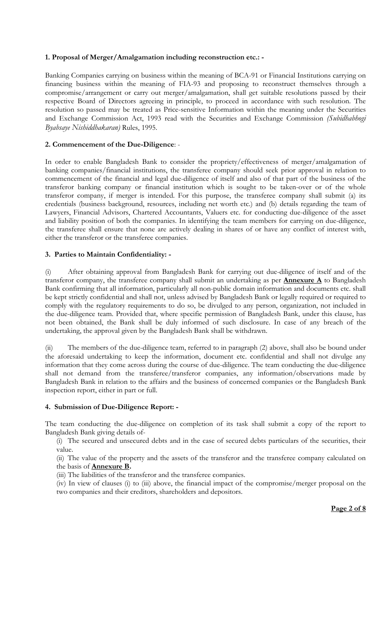## **1. Proposal of Merger/Amalgamation including reconstruction etc.: -**

Banking Companies carrying on business within the meaning of BCA-91 or Financial Institutions carrying on financing business within the meaning of FIA-93 and proposing to reconstruct themselves through a compromise/arrangement or carry out merger/amalgamation, shall get suitable resolutions passed by their respective Board of Directors agreeing in principle, to proceed in accordance with such resolution. The resolution so passed may be treated as Price-sensitive Information within the meaning under the Securities and Exchange Commission Act, 1993 read with the Securities and Exchange Commission *(Subidhabhogi Byabsaye Nishiddhakaran)* Rules, 1995.

#### **2. Commencement of the Due-Diligence**: -

In order to enable Bangladesh Bank to consider the propriety/effectiveness of merger/amalgamation of banking companies/financial institutions, the transferee company should seek prior approval in relation to commencement of the financial and legal due-diligence of itself and also of that part of the business of the transferor banking company or financial institution which is sought to be taken-over or of the whole transferor company, if merger is intended. For this purpose, the transferee company shall submit (a) its credentials (business background, resources, including net worth etc.) and (b) details regarding the team of Lawyers, Financial Advisors, Chartered Accountants, Valuers etc. for conducting due-diligence of the asset and liability position of both the companies. In identifying the team members for carrying on due-diligence, the transferee shall ensure that none are actively dealing in shares of or have any conflict of interest with, either the transferor or the transferee companies.

#### **3. Parties to Maintain Confidentiality: -**

(i) After obtaining approval from Bangladesh Bank for carrying out due-diligence of itself and of the transferor company, the transferee company shall submit an undertaking as per **Annexure A** to Bangladesh Bank confirming that all information, particularly all non-public domain information and documents etc. shall be kept strictly confidential and shall not, unless advised by Bangladesh Bank or legally required or required to comply with the regulatory requirements to do so, be divulged to any person, organization, not included in the due-diligence team. Provided that, where specific permission of Bangladesh Bank, under this clause, has not been obtained, the Bank shall be duly informed of such disclosure. In case of any breach of the undertaking, the approval given by the Bangladesh Bank shall be withdrawn.

(ii) The members of the due-diligence team, referred to in paragraph (2) above, shall also be bound under the aforesaid undertaking to keep the information, document etc. confidential and shall not divulge any information that they come across during the course of due-diligence. The team conducting the due-diligence shall not demand from the transferee/transferor companies, any information/observations made by Bangladesh Bank in relation to the affairs and the business of concerned companies or the Bangladesh Bank inspection report, either in part or full.

#### **4. Submission of Due-Diligence Report: -**

The team conducting the due-diligence on completion of its task shall submit a copy of the report to Bangladesh Bank giving details of-

(i) The secured and unsecured debts and in the case of secured debts particulars of the securities, their value.

(ii) The value of the property and the assets of the transferor and the transferee company calculated on the basis of **Annexure B.**

(iii) The liabilities of the transferor and the transferee companies.

(iv) In view of clauses (i) to (iii) above, the financial impact of the compromise/merger proposal on the two companies and their creditors, shareholders and depositors.

#### **Page 2 of 8**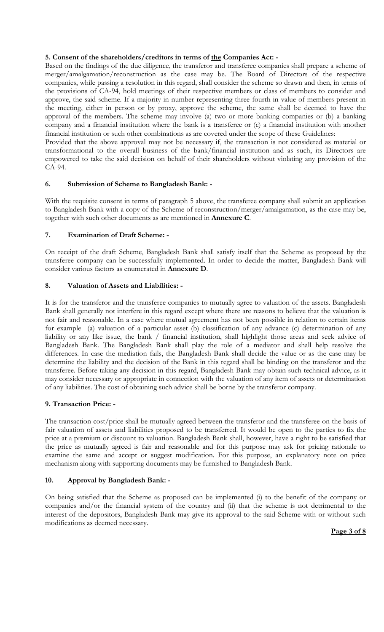# **5. Consent of the shareholders/creditors in terms of the Companies Act: -**

Based on the findings of the due diligence, the transferor and transferee companies shall prepare a scheme of merger/amalgamation/reconstruction as the case may be. The Board of Directors of the respective companies, while passing a resolution in this regard, shall consider the scheme so drawn and then, in terms of the provisions of CA-94, hold meetings of their respective members or class of members to consider and approve, the said scheme. If a majority in number representing three-fourth in value of members present in the meeting, either in person or by proxy, approve the scheme, the same shall be deemed to have the approval of the members. The scheme may involve (a) two or more banking companies or (b) a banking company and a financial institution where the bank is a transferee or (c) a financial institution with another financial institution or such other combinations as are covered under the scope of these Guidelines:

Provided that the above approval may not be necessary if, the transaction is not considered as material or transformational to the overall business of the bank/financial institution and as such, its Directors are empowered to take the said decision on behalf of their shareholders without violating any provision of the CA-94.

## **6. Submission of Scheme to Bangladesh Bank: -**

With the requisite consent in terms of paragraph 5 above, the transferee company shall submit an application to Bangladesh Bank with a copy of the Scheme of reconstruction/merger/amalgamation, as the case may be, together with such other documents as are mentioned in **Annexure C**.

## **7. Examination of Draft Scheme: -**

On receipt of the draft Scheme, Bangladesh Bank shall satisfy itself that the Scheme as proposed by the transferee company can be successfully implemented. In order to decide the matter, Bangladesh Bank will consider various factors as enumerated in **Annexure D**.

# **8. Valuation of Assets and Liabilities: -**

It is for the transferor and the transferee companies to mutually agree to valuation of the assets. Bangladesh Bank shall generally not interfere in this regard except where there are reasons to believe that the valuation is not fair and reasonable. In a case where mutual agreement has not been possible in relation to certain items for example (a) valuation of a particular asset (b) classification of any advance (c) determination of any liability or any like issue, the bank / financial institution, shall highlight those areas and seek advice of Bangladesh Bank. The Bangladesh Bank shall play the role of a mediator and shall help resolve the differences. In case the mediation fails, the Bangladesh Bank shall decide the value or as the case may be determine the liability and the decision of the Bank in this regard shall be binding on the transferor and the transferee. Before taking any decision in this regard, Bangladesh Bank may obtain such technical advice, as it may consider necessary or appropriate in connection with the valuation of any item of assets or determination of any liabilities. The cost of obtaining such advice shall be borne by the transferor company.

## **9. Transaction Price: -**

The transaction cost/price shall be mutually agreed between the transferor and the transferee on the basis of fair valuation of assets and liabilities proposed to be transferred. It would be open to the parties to fix the price at a premium or discount to valuation. Bangladesh Bank shall, however, have a right to be satisfied that the price as mutually agreed is fair and reasonable and for this purpose may ask for pricing rationale to examine the same and accept or suggest modification. For this purpose, an explanatory note on price mechanism along with supporting documents may be furnished to Bangladesh Bank.

## **10. Approval by Bangladesh Bank: -**

On being satisfied that the Scheme as proposed can be implemented (i) to the benefit of the company or companies and/or the financial system of the country and (ii) that the scheme is not detrimental to the interest of the depositors, Bangladesh Bank may give its approval to the said Scheme with or without such modifications as deemed necessary.

## **Page 3 of 8**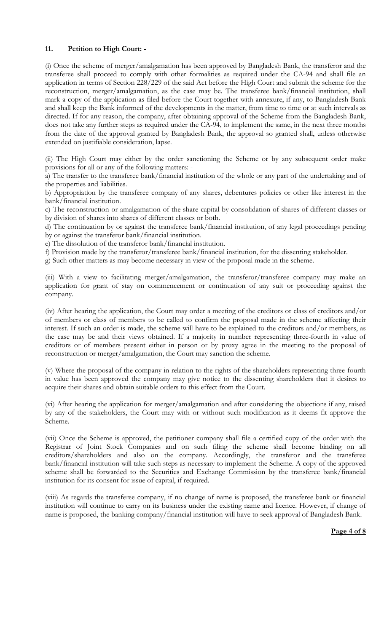## **11. Petition to High Court: -**

(i) Once the scheme of merger/amalgamation has been approved by Bangladesh Bank, the transferor and the transferee shall proceed to comply with other formalities as required under the CA-94 and shall file an application in terms of Section 228/229 of the said Act before the High Court and submit the scheme for the reconstruction, merger/amalgamation, as the case may be. The transferee bank/financial institution, shall mark a copy of the application as filed before the Court together with annexure, if any, to Bangladesh Bank and shall keep the Bank informed of the developments in the matter, from time to time or at such intervals as directed. If for any reason, the company, after obtaining approval of the Scheme from the Bangladesh Bank, does not take any further steps as required under the CA-94, to implement the same, in the next three months from the date of the approval granted by Bangladesh Bank, the approval so granted shall, unless otherwise extended on justifiable consideration, lapse.

(ii) The High Court may either by the order sanctioning the Scheme or by any subsequent order make provisions for all or any of the following matters: -

a) The transfer to the transferee bank/financial institution of the whole or any part of the undertaking and of the properties and liabilities.

b) Appropriation by the transferee company of any shares, debentures policies or other like interest in the bank/financial institution.

c) The reconstruction or amalgamation of the share capital by consolidation of shares of different classes or by division of shares into shares of different classes or both.

d) The continuation by or against the transferee bank/financial institution, of any legal proceedings pending by or against the transferor bank/financial institution.

e) The dissolution of the transferor bank/financial institution.

f) Provision made by the transferor/transferee bank/financial institution, for the dissenting stakeholder.

g) Such other matters as may become necessary in view of the proposal made in the scheme.

(iii) With a view to facilitating merger/amalgamation, the transferor/transferee company may make an application for grant of stay on commencement or continuation of any suit or proceeding against the company.

(iv) After hearing the application, the Court may order a meeting of the creditors or class of creditors and/or of members or class of members to be called to confirm the proposal made in the scheme affecting their interest. If such an order is made, the scheme will have to be explained to the creditors and/or members, as the case may be and their views obtained. If a majority in number representing three-fourth in value of creditors or of members present either in person or by proxy agree in the meeting to the proposal of reconstruction or merger/amalgamation, the Court may sanction the scheme.

(v) Where the proposal of the company in relation to the rights of the shareholders representing three-fourth in value has been approved the company may give notice to the dissenting shareholders that it desires to acquire their shares and obtain suitable orders to this effect from the Court.

(vi) After hearing the application for merger/amalgamation and after considering the objections if any, raised by any of the stakeholders, the Court may with or without such modification as it deems fit approve the Scheme.

(vii) Once the Scheme is approved, the petitioner company shall file a certified copy of the order with the Registrar of Joint Stock Companies and on such filing the scheme shall become binding on all creditors/shareholders and also on the company. Accordingly, the transferor and the transferee bank/financial institution will take such steps as necessary to implement the Scheme. A copy of the approved scheme shall be forwarded to the Securities and Exchange Commission by the transferee bank/financial institution for its consent for issue of capital, if required.

(viii) As regards the transferee company, if no change of name is proposed, the transferee bank or financial institution will continue to carry on its business under the existing name and licence. However, if change of name is proposed, the banking company/financial institution will have to seek approval of Bangladesh Bank.

## **Page 4 of 8**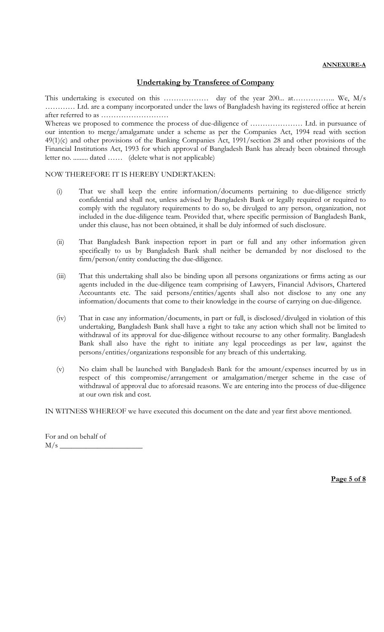#### **ANNEXURE-A**

# **Undertaking by Transferee of Company**

This undertaking is executed on this ………………. day of the year 200... at………………. We, M/s ………… Ltd. are a company incorporated under the laws of Bangladesh having its registered office at herein after referred to as ………………………

Whereas we proposed to commence the process of due-diligence of ………………… Ltd. in pursuance of our intention to merge/amalgamate under a scheme as per the Companies Act, 1994 read with section 49(1)(c) and other provisions of the Banking Companies Act, 1991/section 28 and other provisions of the Financial Institutions Act, 1993 for which approval of Bangladesh Bank has already been obtained through letter no. ......... dated …… (delete what is not applicable)

#### NOW THEREFORE IT IS HEREBY UNDERTAKEN:

- (i) That we shall keep the entire information/documents pertaining to due-diligence strictly confidential and shall not, unless advised by Bangladesh Bank or legally required or required to comply with the regulatory requirements to do so, be divulged to any person, organization, not included in the due-diligence team. Provided that, where specific permission of Bangladesh Bank, under this clause, has not been obtained, it shall be duly informed of such disclosure.
- (ii) That Bangladesh Bank inspection report in part or full and any other information given specifically to us by Bangladesh Bank shall neither be demanded by nor disclosed to the firm/person/entity conducting the due-diligence.
- (iii) That this undertaking shall also be binding upon all persons organizations or firms acting as our agents included in the due-diligence team comprising of Lawyers, Financial Advisors, Chartered Accountants etc. The said persons/entities/agents shall also not disclose to any one any information/documents that come to their knowledge in the course of carrying on due-diligence.
- (iv) That in case any information/documents, in part or full, is disclosed/divulged in violation of this undertaking, Bangladesh Bank shall have a right to take any action which shall not be limited to withdrawal of its approval for due-diligence without recourse to any other formality. Bangladesh Bank shall also have the right to initiate any legal proceedings as per law, against the persons/entities/organizations responsible for any breach of this undertaking.
- (v) No claim shall be launched with Bangladesh Bank for the amount/expenses incurred by us in respect of this compromise/arrangement or amalgamation/merger scheme in the case of withdrawal of approval due to aforesaid reasons. We are entering into the process of due-diligence at our own risk and cost.

IN WITNESS WHEREOF we have executed this document on the date and year first above mentioned.

For and on behalf of  $M/s$   $-$ 

**Page 5 of 8**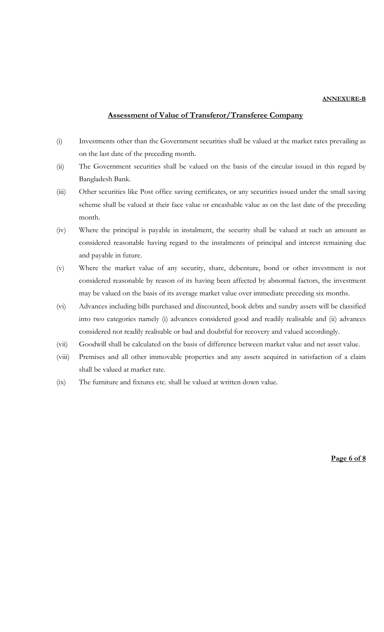#### **ANNEXURE-B**

#### **Assessment of Value of Transferor/Transferee Company**

- (i) Investments other than the Government securities shall be valued at the market rates prevailing as on the last date of the preceding month.
- (ii) The Government securities shall be valued on the basis of the circular issued in this regard by Bangladesh Bank.
- (iii) Other securities like Post office saving certificates, or any securities issued under the small saving scheme shall be valued at their face value or encashable value as on the last date of the preceding month.
- (iv) Where the principal is payable in instalment, the security shall be valued at such an amount as considered reasonable having regard to the instalments of principal and interest remaining due and payable in future.
- (v) Where the market value of any security, share, debenture, bond or other investment is not considered reasonable by reason of its having been affected by abnormal factors, the investment may be valued on the basis of its average market value over immediate preceding six months.
- (vi) Advances including bills purchased and discounted, book debts and sundry assets will be classified into two categories namely (i) advances considered good and readily realisable and (ii) advances considered not readily realisable or bad and doubtful for recovery and valued accordingly.
- (vii) Goodwill shall be calculated on the basis of difference between market value and net asset value.
- (viii) Premises and all other immovable properties and any assets acquired in satisfaction of a claim shall be valued at market rate.
- (ix) The furniture and fixtures etc. shall be valued at written down value.

**Page 6 of 8**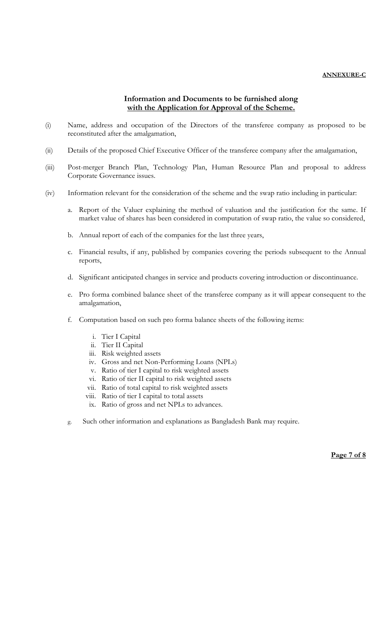#### **ANNEXURE-C**

# **Information and Documents to be furnished along with the Application for Approval of the Scheme.**

- (i) Name, address and occupation of the Directors of the transferee company as proposed to be reconstituted after the amalgamation,
- (ii) Details of the proposed Chief Executive Officer of the transferee company after the amalgamation,
- (iii) Post-merger Branch Plan, Technology Plan, Human Resource Plan and proposal to address Corporate Governance issues.
- (iv) Information relevant for the consideration of the scheme and the swap ratio including in particular:
	- a. Report of the Valuer explaining the method of valuation and the justification for the same. If market value of shares has been considered in computation of swap ratio, the value so considered,
	- b. Annual report of each of the companies for the last three years,
	- c. Financial results, if any, published by companies covering the periods subsequent to the Annual reports,
	- d. Significant anticipated changes in service and products covering introduction or discontinuance.
	- e. Pro forma combined balance sheet of the transferee company as it will appear consequent to the amalgamation,
	- f. Computation based on such pro forma balance sheets of the following items:
		- i. Tier I Capital
		- ii. Tier II Capital
		- iii. Risk weighted assets
		- iv. Gross and net Non-Performing Loans (NPLs)
		- v. Ratio of tier I capital to risk weighted assets
		- vi. Ratio of tier II capital to risk weighted assets
		- vii. Ratio of total capital to risk weighted assets
		- viii. Ratio of tier I capital to total assets
		- ix. Ratio of gross and net NPLs to advances.
	- g. Such other information and explanations as Bangladesh Bank may require.